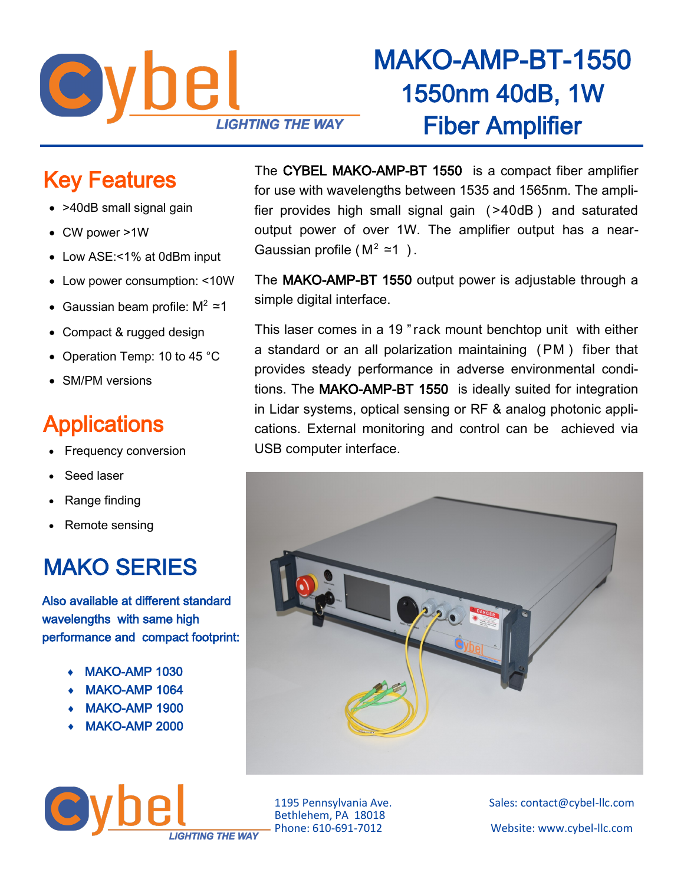

## MAKO-AMP-BT-1550 1550nm 40dB, 1W Fiber Amplifier

#### Key Features

- >40dB small signal gain
- CW power >1W
- Low ASE:<1% at 0dBm input
- Low power consumption: <10W
- Gaussian beam profile:  $M^2 \approx 1$
- Compact & rugged design
- Operation Temp: 10 to 45 °C
- SM/PM versions

#### **Applications**

- Frequency conversion
- Seed laser
- Range finding
- Remote sensing

### MAKO SERIES

Also available at different standard wavelengths with same high performance and compact footprint:

- MAKO-AMP 1030
- MAKO-AMP 1064
- MAKO-AMP 1900
- MAKO-AMP 2000

**IGHTING THE WAY** 

The CYBEL MAKO-AMP-BT 1550 is a compact fiber amplifier for use with wavelengths between 1535 and 1565nm. The amplifier provides high small signal gain ( >40dB ) and saturated output power of over 1W. The amplifier output has a near-Gaussian profile ( $M^2$  ≃1).

The MAKO-AMP-BT 1550 output power is adjustable through a simple digital interface.

This laser comes in a 19 " rack mount benchtop unit with either a standard or an all polarization maintaining ( PM ) fiber that provides steady performance in adverse environmental conditions. The MAKO-AMP-BT 1550 is ideally suited for integration in Lidar systems, optical sensing or RF & analog photonic applications. External monitoring and control can be achieved via USB computer interface.



Bethlehem, PA 18018

1195 Pennsylvania Ave. Sales: contact@cybel-llc.com Website: www.cybel-llc.com